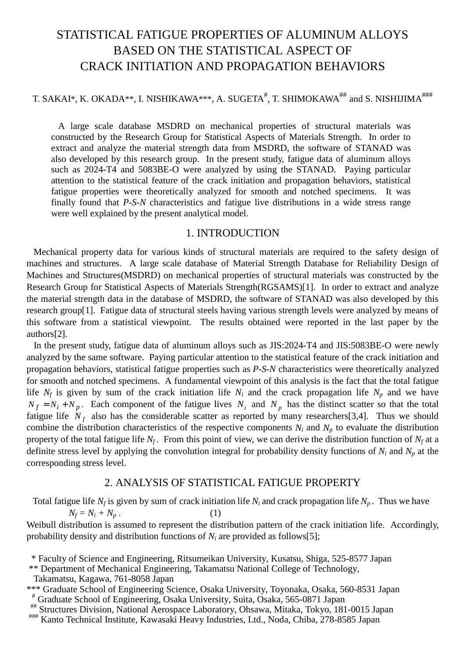# STATISTICAL FATIGUE PROPERTIES OF ALUMINUM ALLOYS BASED ON THE STATISTICAL ASPECT OF CRACK INITIATION AND PROPAGATION BEHAVIORS

# T. SAKAI\*, K. OKADA\*\*, I. NISHIKAWA\*\*\*, A. SUGETA $^\#$ , T. SHIMOKAWA $^{\rm \# \#}$  and S. NISHIJIMA $^{\rm \# \# \#}$

 A large scale database MSDRD on mechanical properties of structural materials was constructed by the Research Group for Statistical Aspects of Materials Strength. In order to extract and analyze the material strength data from MSDRD, the software of STANAD was also developed by this research group. In the present study, fatigue data of aluminum alloys such as 2024-T4 and 5083BE-O were analyzed by using the STANAD. Paying particular attention to the statistical feature of the crack initiation and propagation behaviors, statistical fatigue properties were theoretically analyzed for smooth and notched specimens. It was finally found that *P-S-N* characteristics and fatigue live distributions in a wide stress range were well explained by the present analytical model.

## 1. INTRODUCTION

 Mechanical property data for various kinds of structural materials are required to the safety design of machines and structures. A large scale database of Material Strength Database for Reliability Design of Machines and Structures(MSDRD) on mechanical properties of structural materials was constructed by the Research Group for Statistical Aspects of Materials Strength(RGSAMS)[1]. In order to extract and analyze the material strength data in the database of MSDRD, the software of STANAD was also developed by this research group[1]. Fatigue data of structural steels having various strength levels were analyzed by means of this software from a statistical viewpoint. The results obtained were reported in the last paper by the authors[2].

 In the present study, fatigue data of aluminum alloys such as JIS:2024-T4 and JIS:5083BE-O were newly analyzed by the same software. Paying particular attention to the statistical feature of the crack initiation and propagation behaviors, statistical fatigue properties such as *P-S-N* characteristics were theoretically analyzed for smooth and notched specimens. A fundamental viewpoint of this analysis is the fact that the total fatigue life  $N_f$  is given by sum of the crack initiation life  $N_i$  and the crack propagation life  $N_p$  and we have  $N_f = N_i + N_p$ . Each component of the fatigue lives  $N_i$  and  $N_p$  has the distinct scatter so that the total fatigue life  $N_f$  also has the considerable scatter as reported by many researchers[3,4]. Thus we should combine the distribution characteristics of the respective components  $N_i$  and  $N_p$  to evaluate the distribution property of the total fatigue life  $N_f$ . From this point of view, we can derive the distribution function of  $N_f$  at a definite stress level by applying the convolution integral for probability density functions of  $N_i$  and  $N_p$  at the corresponding stress level.

# 2. ANALYSIS OF STATISTICAL FATIGUE PROPERTY

Total fatigue life  $N_f$  is given by sum of crack initiation life  $N_i$  and crack propagation life  $N_p$ . Thus we have  $N_f = N_i + N_p$  (1)

Weibull distribution is assumed to represent the distribution pattern of the crack initiation life. Accordingly, probability density and distribution functions of  $N_i$  are provided as follows[5];

 <sup>\*</sup> Faculty of Science and Engineering, Ritsumeikan University, Kusatsu, Shiga, 525-8577 Japan

 <sup>\*\*</sup> Department of Mechanical Engineering, Takamatsu National College of Technology, Takamatsu, Kagawa, 761-8058 Japan

<sup>\*\*\*</sup> Graduate School of Engineering Science, Osaka University, Toyonaka, Osaka, 560-8531 Japan

Structures Division, National Aerospace Laboratory, Ohsawa, Mitaka, Tokyo, 181-0015 Japan<br>
""Kanto Technical Institute, Kawasaki Heavy Industries, Ltd., Noda, Chiba, 278-8585 Japan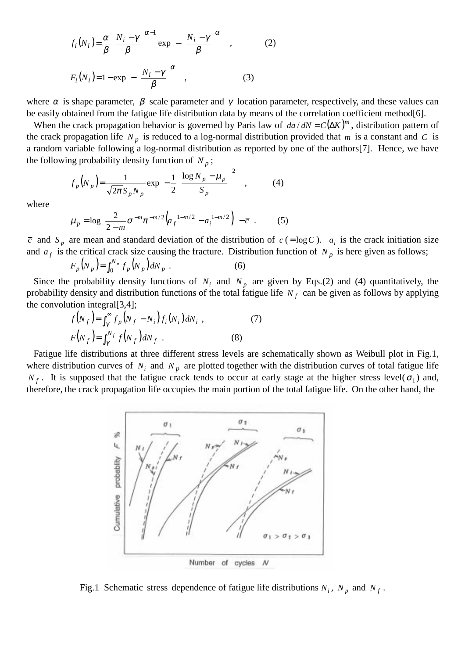$$
f_i(N_i) = \frac{\alpha}{\beta} \left( \frac{N_i - \gamma}{\beta} \right)^{\alpha - 1} \exp\left\{ -\left( \frac{N_i - \gamma}{\beta} \right)^{\alpha} \right\},
$$
 (2)  

$$
F_i(N_i) = 1 - \exp\left\{ -\left( \frac{N_i - \gamma}{\beta} \right)^{\alpha} \right\},
$$
 (3)

where  $\alpha$  is shape parameter,  $\beta$  scale parameter and  $\gamma$  location parameter, respectively, and these values can be easily obtained from the fatigue life distribution data by means of the correlation coefficient method[6].

When the crack propagation behavior is governed by Paris law of  $da / dN = C(\Delta K)^m$ , distribution pattern of the crack propagation life  $N_p$  is reduced to a log-normal distribution provided that  $m$  is a constant and  $C$  is a random variable following a log-normal distribution as reported by one of the authors[7]. Hence, we have the following probability density function of  $N_p$ ;

$$
f_p(N_p) = \frac{1}{\sqrt{2\pi}S_pN_p} \exp\left\{-\frac{1}{2}\left(\frac{\log N_p - \mu_p}{S_p}\right)^2\right\},\qquad(4)
$$

where

$$
\mu_p = \log \left\{ \frac{2}{2 - m} \sigma^{-m} \pi^{-m/2} \left( a_f^{-1 - m/2} - a_i^{-1 - m/2} \right) \right\} - \overline{c} \quad . \tag{5}
$$

 $\bar{c}$  and  $S_p$  are mean and standard deviation of the distribution of  $c$  (=log *C*).  $a_i$  is the crack initiation size and  $a_f$  is the critical crack size causing the fracture. Distribution function of  $N_p$  is here given as follows;

$$
F_p(N_p) = \int_0^{N_p} f_p(N_p) dN_p \tag{6}
$$

Since the probability density functions of  $N_i$  and  $N_p$  are given by Eqs.(2) and (4) quantitatively, the probability density and distribution functions of the total fatigue life *N <sup>f</sup>* can be given as follows by applying the convolution integral[3,4];

$$
f(N_f) = \int_{\gamma}^{\infty} f_p (N_f - N_i) f_i (N_i) dN_i ,
$$
  
\n
$$
F(N_f) = \int_{\gamma}^{N_f} f(N_f) dN_f .
$$
 (8)

 Fatigue life distributions at three different stress levels are schematically shown as Weibull plot in Fig.1, where distribution curves of  $N_i$  and  $N_p$  are plotted together with the distribution curves of total fatigue life  $N_f$ . It is supposed that the fatigue crack tends to occur at early stage at the higher stress level( $\sigma_1$ ) and, therefore, the crack propagation life occupies the main portion of the total fatigue life. On the other hand, the



Fig.1 Schematic stress dependence of fatigue life distributions  $N_i$ ,  $N_p$  and  $N_f$ .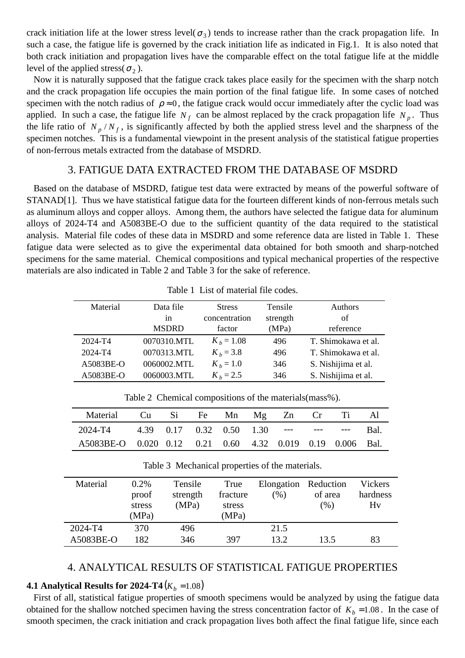crack initiation life at the lower stress level( $\sigma_3$ ) tends to increase rather than the crack propagation life. In such a case, the fatigue life is governed by the crack initiation life as indicated in Fig.1. It is also noted that both crack initiation and propagation lives have the comparable effect on the total fatigue life at the middle level of the applied stress( $\sigma$ <sub>2</sub>).

 Now it is naturally supposed that the fatigue crack takes place easily for the specimen with the sharp notch and the crack propagation life occupies the main portion of the final fatigue life. In some cases of notched specimen with the notch radius of  $\rho \approx 0$ , the fatigue crack would occur immediately after the cyclic load was applied. In such a case, the fatigue life  $N_f$  can be almost replaced by the crack propagation life  $N_p$ . Thus the life ratio of  $N_p / N_f$ , is significantly affected by both the applied stress level and the sharpness of the specimen notches. This is a fundamental viewpoint in the present analysis of the statistical fatigue properties of non-ferrous metals extracted from the database of MSDRD.

## 3. FATIGUE DATA EXTRACTED FROM THE DATABASE OF MSDRD

 Based on the database of MSDRD, fatigue test data were extracted by means of the powerful software of STANAD[1]. Thus we have statistical fatigue data for the fourteen different kinds of non-ferrous metals such as aluminum alloys and copper alloys. Among them, the authors have selected the fatigue data for aluminum alloys of 2024-T4 and A5083BE-O due to the sufficient quantity of the data required to the statistical analysis. Material file codes of these data in MSDRD and some reference data are listed in Table 1. These fatigue data were selected as to give the experimental data obtained for both smooth and sharp-notched specimens for the same material. Chemical compositions and typical mechanical properties of the respective materials are also indicated in Table 2 and Table 3 for the sake of reference.

| Material  | Data file    | <b>Stress</b> | Tensile  | Authors             |  |
|-----------|--------------|---------------|----------|---------------------|--|
|           | 1n           | concentration | strength | of                  |  |
|           | <b>MSDRD</b> | factor        | (MPa)    | reference           |  |
| 2024-T4   | 0070310.MTL  | $K_b = 1.08$  | 496      | T. Shimokawa et al. |  |
| 2024-T4   | 0070313.MTL  | $K_b = 3.8$   | 496      | T. Shimokawa et al. |  |
| A5083BE-O | 0060002.MTL  | $K_b = 1.0$   | 346      | S. Nishijima et al. |  |
| A5083BE-O | 0060003.MTL  | $K_b = 2.5$   | 346      | S. Nishijima et al. |  |

Table 1 List of material file codes.

Table 2 Chemical compositions of the materials(mass%).

| Material                                                  |  |  |  | Cu Si Fe Mn Mg Zn Cr Ti Al |  |
|-----------------------------------------------------------|--|--|--|----------------------------|--|
| 2024-T4 4.39 0.17 0.32 0.50 1.30 --- --- --- Bal.         |  |  |  |                            |  |
| A5083BE-O 0.020 0.12 0.21 0.60 4.32 0.019 0.19 0.006 Bal. |  |  |  |                            |  |

| Material  | $0.2\%$<br>proof<br>stress<br>(MPa) | Tensile<br>strength<br>(MPa) | True<br>fracture<br>stress<br>(MPa) | Elongation Reduction<br>(%) | of area<br>$(\%)$ | Vickers<br>hardness<br>Hv |
|-----------|-------------------------------------|------------------------------|-------------------------------------|-----------------------------|-------------------|---------------------------|
| 2024-T4   | 370                                 | 496                          |                                     | 21.5                        |                   |                           |
| A5083BE-O | 182                                 | 346                          | 397                                 | 13.2.                       | 13.5              | 83                        |

Table 3 Mechanical properties of the materials.

#### 4. ANALYTICAL RESULTS OF STATISTICAL FATIGUE PROPERTIES

#### **4.1 Analytical Results for 2024-T4**  $(K_b = 1.08)$

 First of all, statistical fatigue properties of smooth specimens would be analyzed by using the fatigue data obtained for the shallow notched specimen having the stress concentration factor of  $K_b = 1.08$ . In the case of smooth specimen, the crack initiation and crack propagation lives both affect the final fatigue life, since each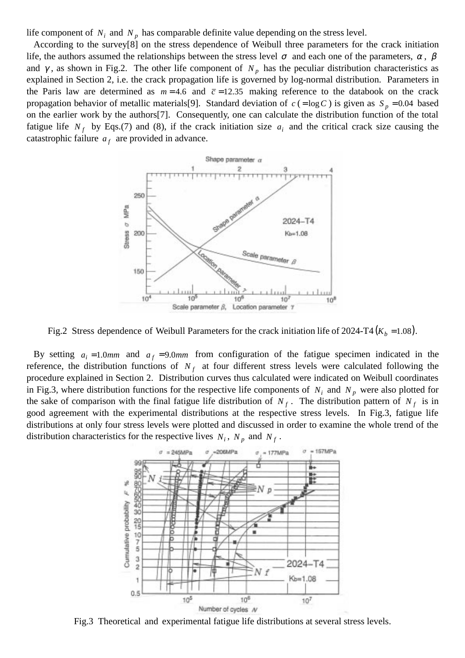life component of  $N_i$  and  $N_p$  has comparable definite value depending on the stress level.

 According to the survey[8] on the stress dependence of Weibull three parameters for the crack initiation life, the authors assumed the relationships between the stress level  $\sigma$  and each one of the parameters,  $\alpha$ ,  $\beta$ and  $\gamma$ , as shown in Fig.2. The other life component of  $N_p$  has the peculiar distribution characteristics as explained in Section 2, i.e. the crack propagation life is governed by log-normal distribution. Parameters in the Paris law are determined as  $m = 4.6$  and  $\bar{c} = 12.35$  making reference to the databook on the crack propagation behavior of metallic materials[9]. Standard deviation of  $c$  (=log C) is given as  $S_p = 0.04$  based on the earlier work by the authors[7]. Consequently, one can calculate the distribution function of the total fatigue life  $N_f$  by Eqs.(7) and (8), if the crack initiation size  $a_i$  and the critical crack size causing the catastrophic failure  $a_f$  are provided in advance.



Fig.2 Stress dependence of Weibull Parameters for the crack initiation life of 2024-T4 ( $K_b$  =1.08).

By setting  $a_i = 1.0$ *mm* and  $a_f = 9.0$ *mm* from configuration of the fatigue specimen indicated in the reference, the distribution functions of  $N_f$  at four different stress levels were calculated following the procedure explained in Section 2. Distribution curves thus calculated were indicated on Weibull coordinates in Fig.3, where distribution functions for the respective life components of  $N_i$  and  $N_p$  were also plotted for the sake of comparison with the final fatigue life distribution of  $N_f$ . The distribution pattern of  $N_f$  is in good agreement with the experimental distributions at the respective stress levels. In Fig.3, fatigue life distributions at only four stress levels were plotted and discussed in order to examine the whole trend of the distribution characteristics for the respective lives  $N_i$ ,  $N_p$  and  $N_f$ .



Fig.3 Theoretical and experimental fatigue life distributions at several stress levels.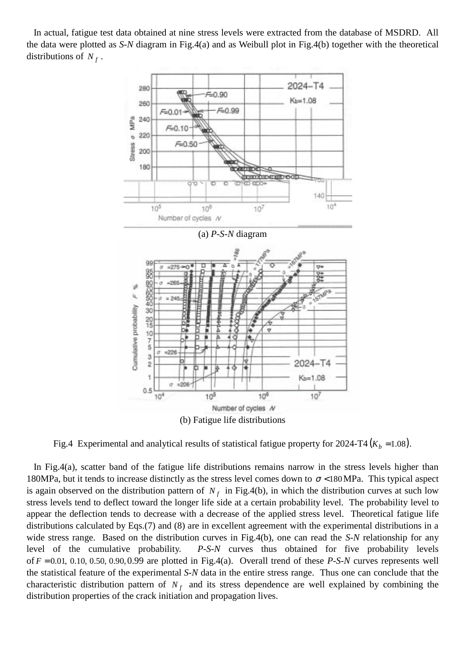In actual, fatigue test data obtained at nine stress levels were extracted from the database of MSDRD. All the data were plotted as *S-N* diagram in Fig.4(a) and as Weibull plot in Fig.4(b) together with the theoretical distributions of  $N_f$ .



Fig.4 Experimental and analytical results of statistical fatigue property for  $2024-T4 (K_b = 1.08)$ .

 In Fig.4(a), scatter band of the fatigue life distributions remains narrow in the stress levels higher than 180MPa, but it tends to increase distinctly as the stress level comes down to  $\sigma$  <180MPa. This typical aspect is again observed on the distribution pattern of  $N_f$  in Fig.4(b), in which the distribution curves at such low stress levels tend to deflect toward the longer life side at a certain probability level. The probability level to appear the deflection tends to decrease with a decrease of the applied stress level. Theoretical fatigue life distributions calculated by Eqs.(7) and (8) are in excellent agreement with the experimental distributions in a wide stress range. Based on the distribution curves in Fig.4(b), one can read the *S-N* relationship for any level of the cumulative probability. *P-S-N* curves thus obtained for five probability levels of  $F = 0.01, 0.10, 0.50, 0.90, 0.99$  are plotted in Fig.4(a). Overall trend of these *P-S-N* curves represents well the statistical feature of the experimental *S-N* data in the entire stress range. Thus one can conclude that the characteristic distribution pattern of  $N_f$  and its stress dependence are well explained by combining the distribution properties of the crack initiation and propagation lives.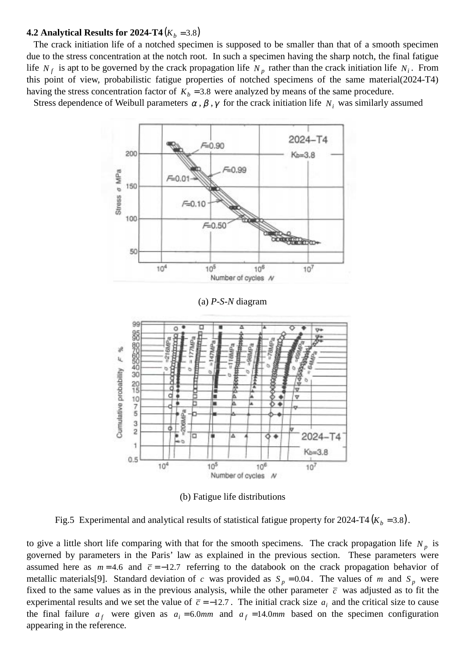#### **4.2 Analytical Results for 2024-T4**  $(K_b = 3.8)$

 The crack initiation life of a notched specimen is supposed to be smaller than that of a smooth specimen due to the stress concentration at the notch root. In such a specimen having the sharp notch, the final fatigue life  $N_f$  is apt to be governed by the crack propagation life  $N_p$  rather than the crack initiation life  $N_i$ . From this point of view, probabilistic fatigue properties of notched specimens of the same material(2024-T4) having the stress concentration factor of  $K_b = 3.8$  were analyzed by means of the same procedure.

Stress dependence of Weibull parameters  $\alpha$ ,  $\beta$ ,  $\gamma$  for the crack initiation life  $N_i$  was similarly assumed



(b) Fatigue life distributions

Fig.5 Experimental and analytical results of statistical fatigue property for  $2024-T4$  ( $K_b = 3.8$ ).

to give a little short life comparing with that for the smooth specimens. The crack propagation life  $N_p$  is governed by parameters in the Paris' law as explained in the previous section. These parameters were assumed here as  $m = 4.6$  and  $\bar{c} = -12.7$  referring to the databook on the crack propagation behavior of metallic materials [9]. Standard deviation of *c* was provided as  $S_p = 0.04$ . The values of *m* and  $S_p$  were fixed to the same values as in the previous analysis, while the other parameter  $\bar{c}$  was adjusted as to fit the experimental results and we set the value of  $\bar{c} = -12.7$ . The initial crack size  $a_i$  and the critical size to cause the final failure  $a_f$  were given as  $a_i = 6.0$ *mm* and  $a_f = 14.0$ *mm* based on the specimen configuration appearing in the reference.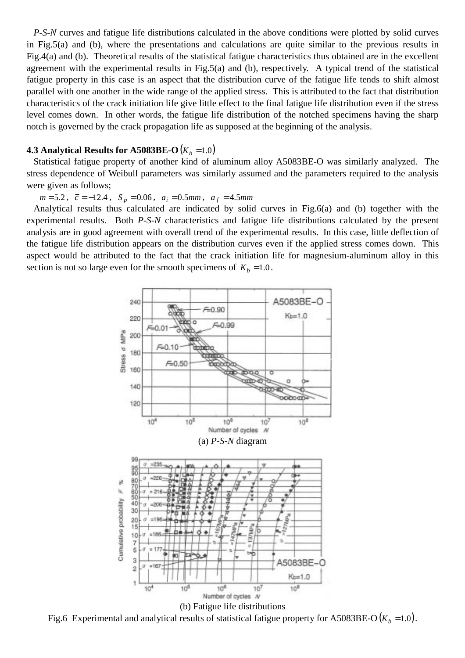*P-S-N* curves and fatigue life distributions calculated in the above conditions were plotted by solid curves in Fig.5(a) and (b), where the presentations and calculations are quite similar to the previous results in Fig.4(a) and (b). Theoretical results of the statistical fatigue characteristics thus obtained are in the excellent agreement with the experimental results in Fig.5(a) and (b), respectively. A typical trend of the statistical fatigue property in this case is an aspect that the distribution curve of the fatigue life tends to shift almost parallel with one another in the wide range of the applied stress. This is attributed to the fact that distribution characteristics of the crack initiation life give little effect to the final fatigue life distribution even if the stress level comes down. In other words, the fatigue life distribution of the notched specimens having the sharp notch is governed by the crack propagation life as supposed at the beginning of the analysis.

#### **4.3 Analytical Results for A5083BE-O**( $K_b$  =1.0)

 Statistical fatigue property of another kind of aluminum alloy A5083BE-O was similarly analyzed. The stress dependence of Weibull parameters was similarly assumed and the parameters required to the analysis were given as follows;

 $m = 5.2$ ,  $\bar{c} = -12.4$ ,  $S_p = 0.06$ ,  $a_i = 0.5$ *mm*,  $a_f = 4.5$ *mm* 

 Analytical results thus calculated are indicated by solid curves in Fig.6(a) and (b) together with the experimental results. Both *P-S-N* characteristics and fatigue life distributions calculated by the present analysis are in good agreement with overall trend of the experimental results. In this case, little deflection of the fatigue life distribution appears on the distribution curves even if the applied stress comes down. This aspect would be attributed to the fact that the crack initiation life for magnesium-aluminum alloy in this section is not so large even for the smooth specimens of  $K_b = 1.0$ .



Fig.6 Experimental and analytical results of statistical fatigue property for A5083BE-O  $(K_b = 1.0)$ .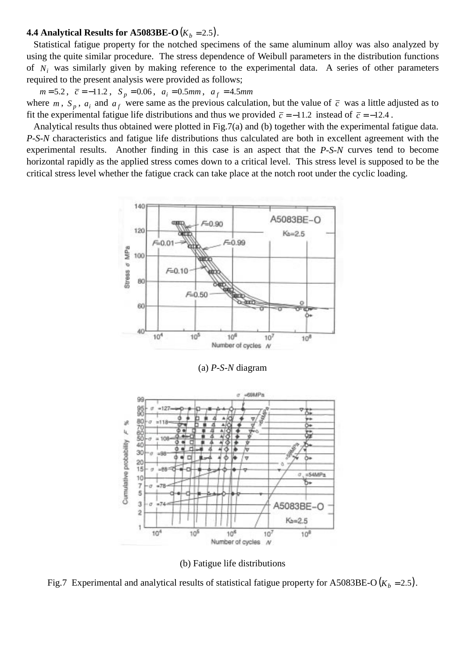#### **4.4 Analytical Results for A5083BE-O**( $K_b = 2.5$ ).

 Statistical fatigue property for the notched specimens of the same aluminum alloy was also analyzed by using the quite similar procedure. The stress dependence of Weibull parameters in the distribution functions of *Ni* was similarly given by making reference to the experimental data. A series of other parameters required to the present analysis were provided as follows;

 $m = 5.2$ ,  $\bar{c} = -11.2$ ,  $S_p = 0.06$ ,  $a_i = 0.5$ *mm*,  $a_f = 4.5$ *mm* where  $m$ ,  $S_p$ ,  $a_i$  and  $a_f$  were same as the previous calculation, but the value of  $\bar{c}$  was a little adjusted as to fit the experimental fatigue life distributions and thus we provided  $\bar{c} = -11.2$  instead of  $\bar{c} = -12.4$ .

 Analytical results thus obtained were plotted in Fig.7(a) and (b) together with the experimental fatigue data. *P-S-N* characteristics and fatigue life distributions thus calculated are both in excellent agreement with the experimental results. Another finding in this case is an aspect that the *P-S-N* curves tend to become horizontal rapidly as the applied stress comes down to a critical level. This stress level is supposed to be the critical stress level whether the fatigue crack can take place at the notch root under the cyclic loading.



(a) *P-S-N* diagram



(b) Fatigue life distributions

Fig.7 Experimental and analytical results of statistical fatigue property for A5083BE-O  $(K_b = 2.5)$ .